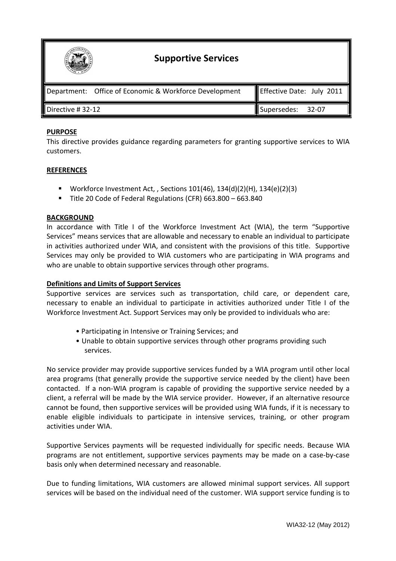

# **PURPOSE**

This directive provides guidance regarding parameters for granting supportive services to WIA customers.

### **REFERENCES**

- Workforce Investment Act, , Sections 101(46), 134(d)(2)(H), 134(e)(2)(3)
- Title 20 Code of Federal Regulations (CFR) 663.800 663.840

#### **BACKGROUND**

In accordance with Title I of the Workforce Investment Act (WIA), the term "Supportive Services" means services that are allowable and necessary to enable an individual to participate in activities authorized under WIA, and consistent with the provisions of this title. Supportive Services may only be provided to WIA customers who are participating in WIA programs and who are unable to obtain supportive services through other programs.

## **Definitions and Limits of Support Services**

Supportive services are services such as transportation, child care, or dependent care, necessary to enable an individual to participate in activities authorized under Title I of the Workforce Investment Act. Support Services may only be provided to individuals who are:

- Participating in Intensive or Training Services; and
- Unable to obtain supportive services through other programs providing such services.

No service provider may provide supportive services funded by a WIA program until other local area programs (that generally provide the supportive service needed by the client) have been contacted. If a non-WIA program is capable of providing the supportive service needed by a client, a referral will be made by the WIA service provider. However, if an alternative resource cannot be found, then supportive services will be provided using WIA funds, if it is necessary to enable eligible individuals to participate in intensive services, training, or other program activities under WIA.

Supportive Services payments will be requested individually for specific needs. Because WIA programs are not entitlement, supportive services payments may be made on a case-by-case basis only when determined necessary and reasonable.

Due to funding limitations, WIA customers are allowed minimal support services. All support services will be based on the individual need of the customer. WIA support service funding is to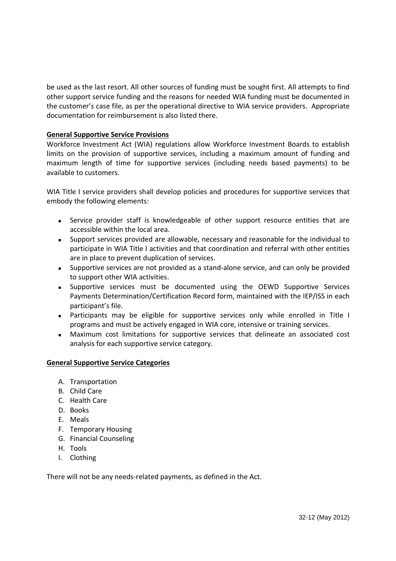be used as the last resort. All other sources of funding must be sought first. All attempts to find other support service funding and the reasons for needed WIA funding must be documented in the customer's case file, as per the operational directive to WIA service providers. Appropriate documentation for reimbursement is also listed there.

# **General Supportive Service Provisions**

Workforce Investment Act (WIA) regulations allow Workforce Investment Boards to establish limits on the provision of supportive services, including a maximum amount of funding and maximum length of time for supportive services (including needs based payments) to be available to customers.

WIA Title I service providers shall develop policies and procedures for supportive services that embody the following elements:

- Service provider staff is knowledgeable of other support resource entities that are accessible within the local area.
- Support services provided are allowable, necessary and reasonable for the individual to participate in WIA Title I activities and that coordination and referral with other entities are in place to prevent duplication of services.
- Supportive services are not provided as a stand-alone service, and can only be provided to support other WIA activities.
- Supportive services must be documented using the OEWD Supportive Services Payments Determination/Certification Record form, maintained with the IEP/ISS in each participant's file.
- Participants may be eligible for supportive services only while enrolled in Title I programs and must be actively engaged in WIA core, intensive or training services.
- Maximum cost limitations for supportive services that delineate an associated cost analysis for each supportive service category.

# **General Supportive Service Categories**

- A. Transportation
- B. Child Care
- C. Health Care
- D. Books
- E. Meals
- F. Temporary Housing
- G. Financial Counseling
- H. Tools
- I. Clothing

There will not be any needs-related payments, as defined in the Act.